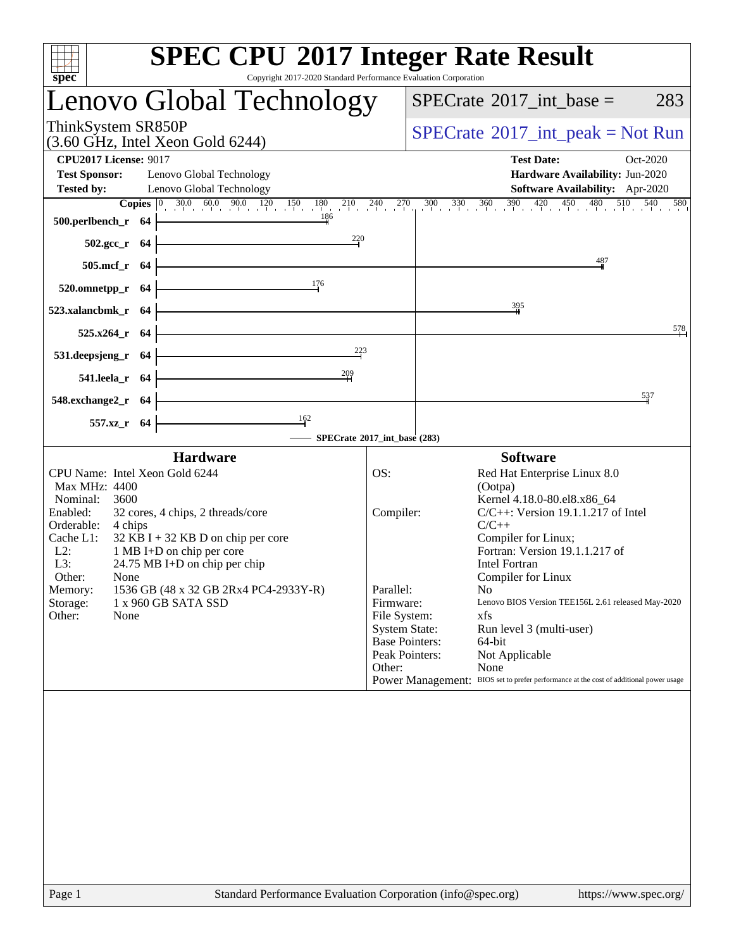| <b>SPEC CPU®2017 Integer Rate Result</b><br>Copyright 2017-2020 Standard Performance Evaluation Corporation<br>spec <sup>®</sup>                                                                                                                                                                                                                                                                             |                                                                                              |                                                                     |                                                                                                                                                                                                                                                                                                                                                                                                                                              |                   |                                                                    |          |  |
|--------------------------------------------------------------------------------------------------------------------------------------------------------------------------------------------------------------------------------------------------------------------------------------------------------------------------------------------------------------------------------------------------------------|----------------------------------------------------------------------------------------------|---------------------------------------------------------------------|----------------------------------------------------------------------------------------------------------------------------------------------------------------------------------------------------------------------------------------------------------------------------------------------------------------------------------------------------------------------------------------------------------------------------------------------|-------------------|--------------------------------------------------------------------|----------|--|
| Lenovo Global Technology                                                                                                                                                                                                                                                                                                                                                                                     |                                                                                              | $SPECTate$ <sup>®</sup> 2017_int_base =                             |                                                                                                                                                                                                                                                                                                                                                                                                                                              |                   |                                                                    | 283      |  |
| ThinkSystem SR850P<br>$(3.60 \text{ GHz}, \text{Intel Xeon Gold } 6244)$                                                                                                                                                                                                                                                                                                                                     | $SPECrate^{\circledast}2017\_int\_peak = Not Run$                                            |                                                                     |                                                                                                                                                                                                                                                                                                                                                                                                                                              |                   |                                                                    |          |  |
| <b>CPU2017 License: 9017</b><br><b>Test Sponsor:</b><br>Lenovo Global Technology<br><b>Tested by:</b><br>Lenovo Global Technology<br><b>Copies</b> $\begin{bmatrix} 0 & 30.0 & 60.0 & 90.0 & 120 & 150 & 180 & 210 & 240 & 270 & 300 & 330 & 360 & 390 & 420 & 450 & 480 & 510 & 540 & 580 \end{bmatrix}$<br>186<br>500.perlbench_r 64                                                                       |                                                                                              |                                                                     |                                                                                                                                                                                                                                                                                                                                                                                                                                              | <b>Test Date:</b> | Hardware Availability: Jun-2020<br>Software Availability: Apr-2020 | Oct-2020 |  |
| $\frac{220}{4}$<br>$502.\text{gcc}_r$ 64                                                                                                                                                                                                                                                                                                                                                                     |                                                                                              |                                                                     |                                                                                                                                                                                                                                                                                                                                                                                                                                              |                   |                                                                    |          |  |
| 505.mcf_r 64                                                                                                                                                                                                                                                                                                                                                                                                 |                                                                                              | 487                                                                 |                                                                                                                                                                                                                                                                                                                                                                                                                                              |                   |                                                                    |          |  |
| 176<br>520.omnetpp_r 64                                                                                                                                                                                                                                                                                                                                                                                      |                                                                                              |                                                                     |                                                                                                                                                                                                                                                                                                                                                                                                                                              |                   |                                                                    |          |  |
| 523.xalancbmk_r 64                                                                                                                                                                                                                                                                                                                                                                                           |                                                                                              | 395                                                                 |                                                                                                                                                                                                                                                                                                                                                                                                                                              |                   |                                                                    |          |  |
| $525.x264$ <sub>r</sub> 64<br>223                                                                                                                                                                                                                                                                                                                                                                            |                                                                                              |                                                                     |                                                                                                                                                                                                                                                                                                                                                                                                                                              |                   |                                                                    | 578      |  |
| 531.deepsjeng_r 64<br>$\frac{209}{1}$<br>541.leela_r 64                                                                                                                                                                                                                                                                                                                                                      |                                                                                              |                                                                     |                                                                                                                                                                                                                                                                                                                                                                                                                                              |                   |                                                                    |          |  |
| 548.exchange2_r 64                                                                                                                                                                                                                                                                                                                                                                                           |                                                                                              |                                                                     |                                                                                                                                                                                                                                                                                                                                                                                                                                              |                   |                                                                    | 537      |  |
| $\frac{162}{ }$<br>557.xz_r 64                                                                                                                                                                                                                                                                                                                                                                               |                                                                                              |                                                                     |                                                                                                                                                                                                                                                                                                                                                                                                                                              |                   |                                                                    |          |  |
| - SPECrate®2017_int_base (283)<br><b>Hardware</b>                                                                                                                                                                                                                                                                                                                                                            |                                                                                              |                                                                     | <b>Software</b>                                                                                                                                                                                                                                                                                                                                                                                                                              |                   |                                                                    |          |  |
| CPU Name: Intel Xeon Gold 6244<br>Max MHz: 4400<br>Nominal:<br>3600<br>Enabled:<br>32 cores, 4 chips, 2 threads/core<br>Orderable:<br>4 chips<br>Cache L1:<br>$32$ KB I + 32 KB D on chip per core<br>$L2$ :<br>1 MB I+D on chip per core<br>L3:<br>24.75 MB I+D on chip per chip<br>Other:<br>None<br>1536 GB (48 x 32 GB 2Rx4 PC4-2933Y-R)<br>Memory:<br>Storage:<br>1 x 960 GB SATA SSD<br>Other:<br>None | OS:<br>Compiler:<br>Parallel:<br>Firmware:<br>File System:<br><b>System State:</b><br>Other: | <b>Base Pointers:</b><br>Peak Pointers:<br><b>Power Management:</b> | Red Hat Enterprise Linux 8.0<br>(Ootpa)<br>Kernel 4.18.0-80.el8.x86_64<br>$C/C++$ : Version 19.1.1.217 of Intel<br>$C/C++$<br>Compiler for Linux;<br>Fortran: Version 19.1.1.217 of<br><b>Intel Fortran</b><br>Compiler for Linux<br>No<br>Lenovo BIOS Version TEE156L 2.61 released May-2020<br>xfs<br>Run level 3 (multi-user)<br>64-bit<br>Not Applicable<br>None<br>BIOS set to prefer performance at the cost of additional power usage |                   |                                                                    |          |  |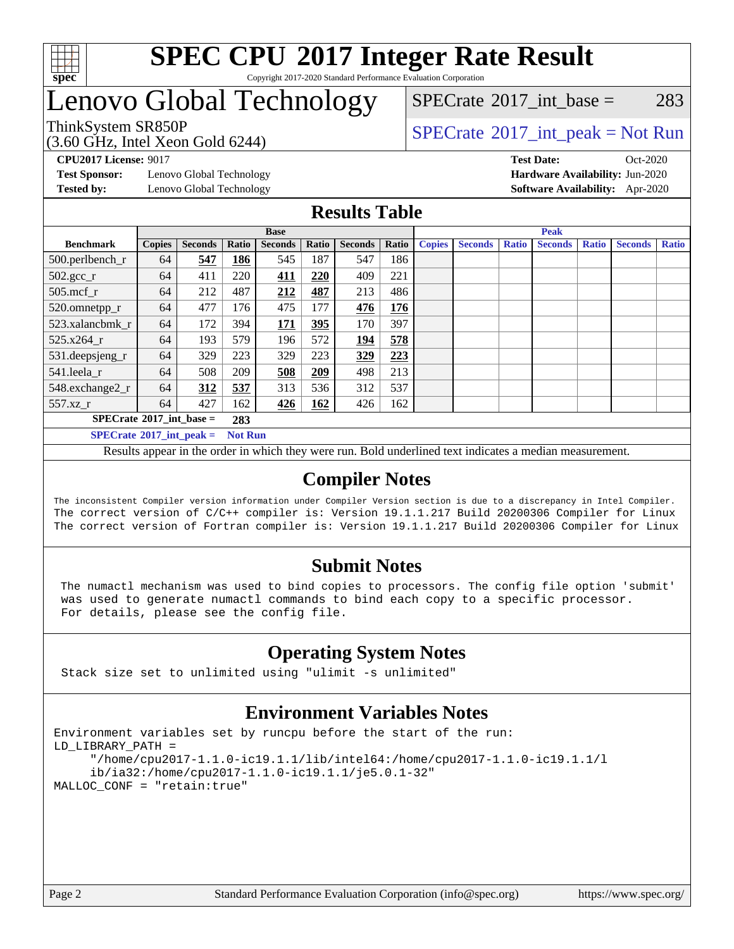

#### **[SPEC CPU](http://www.spec.org/auto/cpu2017/Docs/result-fields.html#SPECCPU2017IntegerRateResult)[2017 Integer Rate Result](http://www.spec.org/auto/cpu2017/Docs/result-fields.html#SPECCPU2017IntegerRateResult)** Copyright 2017-2020 Standard Performance Evaluation Corporation

## Lenovo Global Technology

(3.60 GHz, Intel Xeon Gold 6244)

ThinkSystem SR850P<br>  $\begin{array}{c}\n\text{SPECTI} \\
\text{SPECTI} \\
\text{SPECTI} \\
\text{SPECTI} \\
\text{SPECTI} \\
\text{SPECTI} \\
\text{SPECTI} \\
\text{SPECTI} \\
\text{SPECTI} \\
\text{SPECTI} \\
\text{SPECTI} \\
\text{SPECTI} \\
\text{SPECTI} \\
\text{SPECTI} \\
\text{S OF T} \\
\text{S OF T} \\
\text{S OF T} \\
\text{S OF T} \\
\text{S OF T} \\
\text{S OF T} \\
\text{S OF T} \\
\text{S OF T} \\
\text{S OF T} \\
\text{S OF T} \\$ 

 $SPECTate@2017\_int\_base = 283$ 

**[Test Sponsor:](http://www.spec.org/auto/cpu2017/Docs/result-fields.html#TestSponsor)** Lenovo Global Technology **[Hardware Availability:](http://www.spec.org/auto/cpu2017/Docs/result-fields.html#HardwareAvailability)** Jun-2020

**[CPU2017 License:](http://www.spec.org/auto/cpu2017/Docs/result-fields.html#CPU2017License)** 9017 **[Test Date:](http://www.spec.org/auto/cpu2017/Docs/result-fields.html#TestDate)** Oct-2020 **[Tested by:](http://www.spec.org/auto/cpu2017/Docs/result-fields.html#Testedby)** Lenovo Global Technology **[Software Availability:](http://www.spec.org/auto/cpu2017/Docs/result-fields.html#SoftwareAvailability)** Apr-2020

#### **[Results Table](http://www.spec.org/auto/cpu2017/Docs/result-fields.html#ResultsTable)**

|                                   | <b>Base</b>   |                |                |                |       |                |       | <b>Peak</b>   |                |              |                |              |                |              |
|-----------------------------------|---------------|----------------|----------------|----------------|-------|----------------|-------|---------------|----------------|--------------|----------------|--------------|----------------|--------------|
| <b>Benchmark</b>                  | <b>Copies</b> | <b>Seconds</b> | Ratio          | <b>Seconds</b> | Ratio | <b>Seconds</b> | Ratio | <b>Copies</b> | <b>Seconds</b> | <b>Ratio</b> | <b>Seconds</b> | <b>Ratio</b> | <b>Seconds</b> | <b>Ratio</b> |
| $500.$ perlbench_r                | 64            | 547            | 186            | 545            | 187   | 547            | 186   |               |                |              |                |              |                |              |
| $502.\text{gcc}$ <sub>r</sub>     | 64            | 411            | 220            | 411            | 220   | 409            | 221   |               |                |              |                |              |                |              |
| $505$ .mcf r                      | 64            | 212            | 487            | 212            | 487   | 213            | 486   |               |                |              |                |              |                |              |
| 520.omnetpp_r                     | 64            | 477            | 176            | 475            | 177   | 476            | 176   |               |                |              |                |              |                |              |
| 523.xalancbmk r                   | 64            | 172            | 394            | 171            | 395   | 170            | 397   |               |                |              |                |              |                |              |
| 525.x264 r                        | 64            | 193            | 579            | 196            | 572   | 194            | 578   |               |                |              |                |              |                |              |
| 531.deepsjeng_r                   | 64            | 329            | 223            | 329            | 223   | 329            | 223   |               |                |              |                |              |                |              |
| 541.leela r                       | 64            | 508            | 209            | 508            | 209   | 498            | 213   |               |                |              |                |              |                |              |
| 548.exchange2_r                   | 64            | 312            | 537            | 313            | 536   | 312            | 537   |               |                |              |                |              |                |              |
| 557.xz r                          | 64            | 427            | 162            | 426            | 162   | 426            | 162   |               |                |              |                |              |                |              |
| $SPECrate^{\circ}2017$ int base = |               |                | 283            |                |       |                |       |               |                |              |                |              |                |              |
| $SPECrate^{\circ}2017$ int peak = |               |                | <b>Not Run</b> |                |       |                |       |               |                |              |                |              |                |              |

Results appear in the [order in which they were run](http://www.spec.org/auto/cpu2017/Docs/result-fields.html#RunOrder). Bold underlined text [indicates a median measurement](http://www.spec.org/auto/cpu2017/Docs/result-fields.html#Median).

### **[Compiler Notes](http://www.spec.org/auto/cpu2017/Docs/result-fields.html#CompilerNotes)**

The inconsistent Compiler version information under Compiler Version section is due to a discrepancy in Intel Compiler. The correct version of C/C++ compiler is: Version 19.1.1.217 Build 20200306 Compiler for Linux The correct version of Fortran compiler is: Version 19.1.1.217 Build 20200306 Compiler for Linux

### **[Submit Notes](http://www.spec.org/auto/cpu2017/Docs/result-fields.html#SubmitNotes)**

 The numactl mechanism was used to bind copies to processors. The config file option 'submit' was used to generate numactl commands to bind each copy to a specific processor. For details, please see the config file.

### **[Operating System Notes](http://www.spec.org/auto/cpu2017/Docs/result-fields.html#OperatingSystemNotes)**

Stack size set to unlimited using "ulimit -s unlimited"

### **[Environment Variables Notes](http://www.spec.org/auto/cpu2017/Docs/result-fields.html#EnvironmentVariablesNotes)**

```
Environment variables set by runcpu before the start of the run:
LD_LIBRARY_PATH =
      "/home/cpu2017-1.1.0-ic19.1.1/lib/intel64:/home/cpu2017-1.1.0-ic19.1.1/l
      ib/ia32:/home/cpu2017-1.1.0-ic19.1.1/je5.0.1-32"
MALLOC_CONF = "retain:true"
```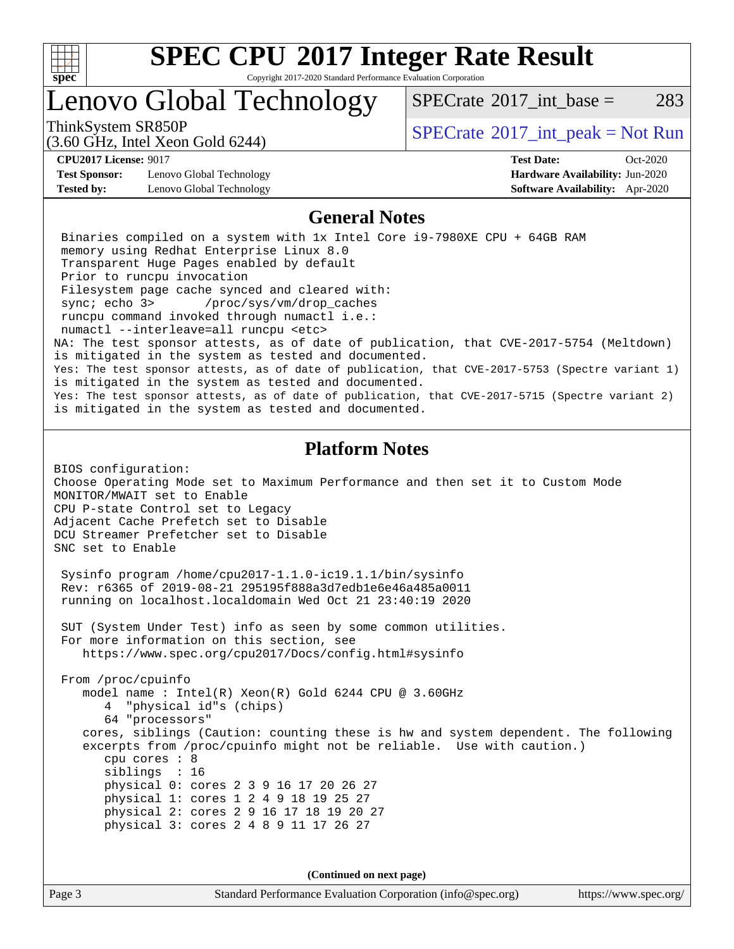

Copyright 2017-2020 Standard Performance Evaluation Corporation

## Lenovo Global Technology

ThinkSystem SR850P<br>  $SPECTI<sub>2</sub>$  [SPECrate](http://www.spec.org/auto/cpu2017/Docs/result-fields.html#SPECrate2017intpeak)®[2017\\_int\\_peak = N](http://www.spec.org/auto/cpu2017/Docs/result-fields.html#SPECrate2017intpeak)ot Run

(3.60 GHz, Intel Xeon Gold 6244)

[SPECrate](http://www.spec.org/auto/cpu2017/Docs/result-fields.html#SPECrate2017intbase)<sup>®</sup>2017 int base = 283

**[CPU2017 License:](http://www.spec.org/auto/cpu2017/Docs/result-fields.html#CPU2017License)** 9017 **[Test Date:](http://www.spec.org/auto/cpu2017/Docs/result-fields.html#TestDate)** Oct-2020

**[Test Sponsor:](http://www.spec.org/auto/cpu2017/Docs/result-fields.html#TestSponsor)** Lenovo Global Technology **[Hardware Availability:](http://www.spec.org/auto/cpu2017/Docs/result-fields.html#HardwareAvailability)** Jun-2020 **[Tested by:](http://www.spec.org/auto/cpu2017/Docs/result-fields.html#Testedby)** Lenovo Global Technology **[Software Availability:](http://www.spec.org/auto/cpu2017/Docs/result-fields.html#SoftwareAvailability)** Apr-2020

#### **[General Notes](http://www.spec.org/auto/cpu2017/Docs/result-fields.html#GeneralNotes)**

 Binaries compiled on a system with 1x Intel Core i9-7980XE CPU + 64GB RAM memory using Redhat Enterprise Linux 8.0 Transparent Huge Pages enabled by default Prior to runcpu invocation Filesystem page cache synced and cleared with: sync; echo 3> /proc/sys/vm/drop\_caches runcpu command invoked through numactl i.e.: numactl --interleave=all runcpu <etc> NA: The test sponsor attests, as of date of publication, that CVE-2017-5754 (Meltdown) is mitigated in the system as tested and documented. Yes: The test sponsor attests, as of date of publication, that CVE-2017-5753 (Spectre variant 1) is mitigated in the system as tested and documented. Yes: The test sponsor attests, as of date of publication, that CVE-2017-5715 (Spectre variant 2) is mitigated in the system as tested and documented.

#### **[Platform Notes](http://www.spec.org/auto/cpu2017/Docs/result-fields.html#PlatformNotes)**

BIOS configuration: Choose Operating Mode set to Maximum Performance and then set it to Custom Mode MONITOR/MWAIT set to Enable CPU P-state Control set to Legacy Adjacent Cache Prefetch set to Disable DCU Streamer Prefetcher set to Disable SNC set to Enable

 Sysinfo program /home/cpu2017-1.1.0-ic19.1.1/bin/sysinfo Rev: r6365 of 2019-08-21 295195f888a3d7edb1e6e46a485a0011 running on localhost.localdomain Wed Oct 21 23:40:19 2020

 SUT (System Under Test) info as seen by some common utilities. For more information on this section, see <https://www.spec.org/cpu2017/Docs/config.html#sysinfo>

 From /proc/cpuinfo model name : Intel(R) Xeon(R) Gold 6244 CPU @ 3.60GHz 4 "physical id"s (chips) 64 "processors" cores, siblings (Caution: counting these is hw and system dependent. The following excerpts from /proc/cpuinfo might not be reliable. Use with caution.) cpu cores : 8 siblings : 16 physical 0: cores 2 3 9 16 17 20 26 27 physical 1: cores 1 2 4 9 18 19 25 27 physical 2: cores 2 9 16 17 18 19 20 27 physical 3: cores 2 4 8 9 11 17 26 27

**(Continued on next page)**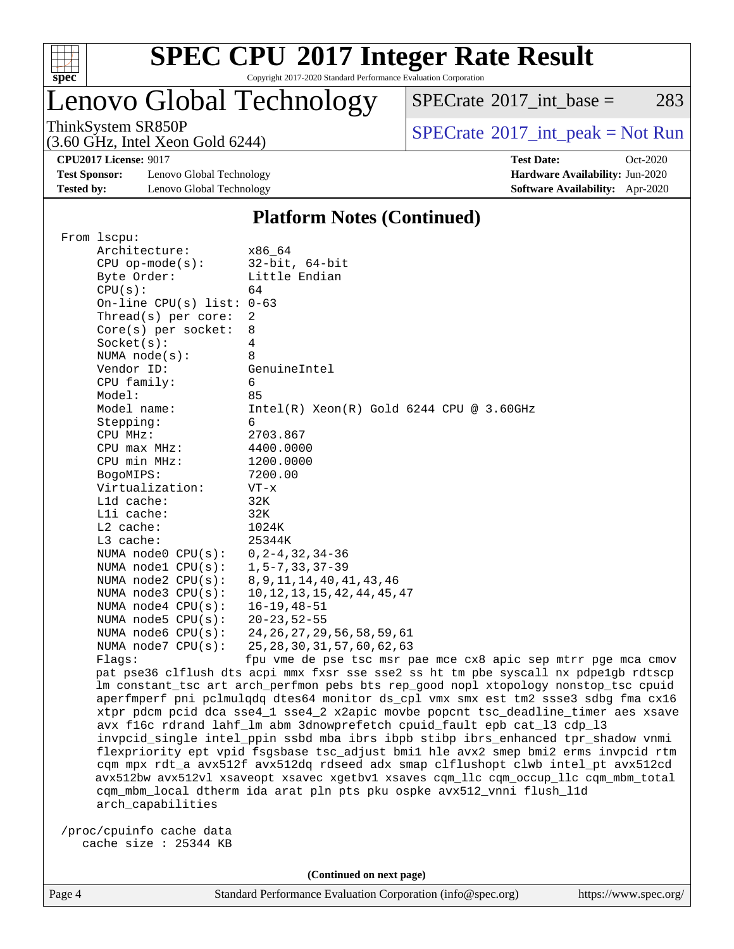

Copyright 2017-2020 Standard Performance Evaluation Corporation

## Lenovo Global Technology

 $SPECTate@2017\_int\_base = 283$ 

(3.60 GHz, Intel Xeon Gold 6244)

ThinkSystem SR850P<br>  $(3.60 \text{ GHz, Intel Yoon Gold } 6244)$  [SPECrate](http://www.spec.org/auto/cpu2017/Docs/result-fields.html#SPECrate2017intpeak)®[2017\\_int\\_peak = N](http://www.spec.org/auto/cpu2017/Docs/result-fields.html#SPECrate2017intpeak)ot Run

**[CPU2017 License:](http://www.spec.org/auto/cpu2017/Docs/result-fields.html#CPU2017License)** 9017 **[Test Date:](http://www.spec.org/auto/cpu2017/Docs/result-fields.html#TestDate)** Oct-2020

**[Test Sponsor:](http://www.spec.org/auto/cpu2017/Docs/result-fields.html#TestSponsor)** Lenovo Global Technology **[Hardware Availability:](http://www.spec.org/auto/cpu2017/Docs/result-fields.html#HardwareAvailability)** Jun-2020 **[Tested by:](http://www.spec.org/auto/cpu2017/Docs/result-fields.html#Testedby)** Lenovo Global Technology **[Software Availability:](http://www.spec.org/auto/cpu2017/Docs/result-fields.html#SoftwareAvailability)** Apr-2020

#### **[Platform Notes \(Continued\)](http://www.spec.org/auto/cpu2017/Docs/result-fields.html#PlatformNotes)**

| From lscpu:                 |                                                                                     |
|-----------------------------|-------------------------------------------------------------------------------------|
| Architecture:               | x86 64                                                                              |
| $CPU$ op-mode(s):           | $32$ -bit, $64$ -bit                                                                |
| Byte Order:                 | Little Endian                                                                       |
| CPU(s):                     | 64                                                                                  |
| On-line CPU(s) list: $0-63$ |                                                                                     |
| Thread( $s$ ) per core:     | 2                                                                                   |
| $Core(s)$ per socket:       | 8                                                                                   |
| Socket(s):                  | 4                                                                                   |
| NUMA $node(s)$ :            | 8                                                                                   |
| Vendor ID:                  | GenuineIntel                                                                        |
| CPU family:                 | 6                                                                                   |
| Model:                      | 85                                                                                  |
| Model name:                 | $Intel(R) Xeon(R) Gold 6244 CPU @ 3.60GHz$                                          |
| Stepping:                   | 6                                                                                   |
| CPU MHz:                    | 2703.867                                                                            |
| $CPU$ max $MHz$ :           | 4400.0000                                                                           |
| CPU min MHz:                | 1200.0000                                                                           |
| BogoMIPS:                   | 7200.00                                                                             |
| Virtualization:             | $VT - x$                                                                            |
| L1d cache:                  | 32K                                                                                 |
| Lli cache:                  | 32K                                                                                 |
| $L2$ cache:                 | 1024K                                                                               |
| $L3$ cache:                 | 25344K                                                                              |
| NUMA node0 CPU(s):          | $0, 2 - 4, 32, 34 - 36$                                                             |
| NUMA nodel $CPU(s):$        | $1, 5 - 7, 33, 37 - 39$                                                             |
| NUMA $node2$ $CPU(s)$ :     | 8, 9, 11, 14, 40, 41, 43, 46                                                        |
| NUMA node3 CPU(s):          | 10, 12, 13, 15, 42, 44, 45, 47                                                      |
| NUMA $node4$ $CPU(s):$      | $16 - 19, 48 - 51$                                                                  |
| NUMA $node5$ $CPU(s):$      | $20 - 23, 52 - 55$                                                                  |
| NUMA node6 $CPU(s):$        | 24, 26, 27, 29, 56, 58, 59, 61                                                      |
| NUMA node7 CPU(s):          | 25, 28, 30, 31, 57, 60, 62, 63                                                      |
| Flaqs:                      | fpu vme de pse tsc msr pae mce cx8 apic sep mtrr pge mca cmov                       |
|                             | pat pse36 clflush dts acpi mmx fxsr sse sse2 ss ht tm pbe syscall nx pdpelgb rdtscp |
|                             | lm constant_tsc art arch_perfmon pebs bts rep_good nopl xtopology nonstop_tsc cpuid |
|                             | aperfmperf pni pclmulqdq dtes64 monitor ds_cpl vmx smx est tm2 ssse3 sdbg fma cx16  |
|                             | xtpr pdcm pcid dca sse4_1 sse4_2 x2apic movbe popcnt tsc_deadline_timer aes xsave   |
|                             | avx f16c rdrand lahf_lm abm 3dnowprefetch cpuid_fault epb cat_13 cdp_13             |
|                             | invpcid_single intel_ppin ssbd mba ibrs ibpb stibp ibrs_enhanced tpr_shadow vnmi    |
|                             | flexpriority ept vpid fsgsbase tsc_adjust bmil hle avx2 smep bmi2 erms invpcid rtm  |
|                             | cqm mpx rdt_a avx512f avx512dq rdseed adx smap clflushopt clwb intel_pt avx512cd    |

tel\_pt avx512cd avx512bw avx512vl xsaveopt xsavec xgetbv1 xsaves cqm\_llc cqm\_occup\_llc cqm\_mbm\_total cqm\_mbm\_local dtherm ida arat pln pts pku ospke avx512\_vnni flush\_l1d arch\_capabilities

 /proc/cpuinfo cache data cache size : 25344 KB

**(Continued on next page)**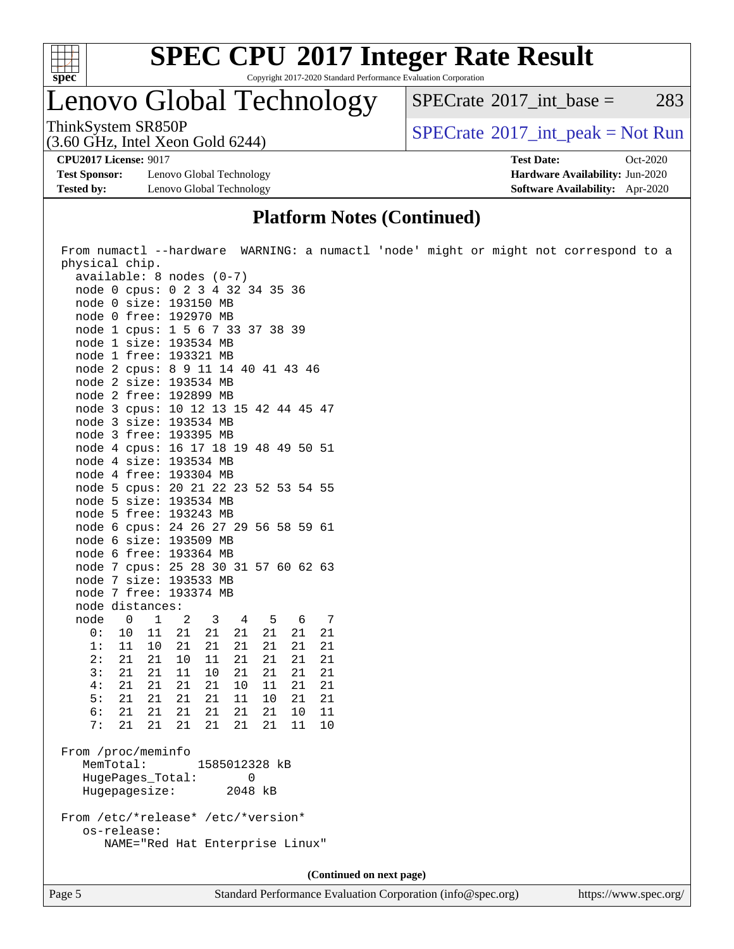

Copyright 2017-2020 Standard Performance Evaluation Corporation

## Lenovo Global Technology

 $SPECTate$ <sup>®</sup>[2017\\_int\\_base =](http://www.spec.org/auto/cpu2017/Docs/result-fields.html#SPECrate2017intbase) 283

(3.60 GHz, Intel Xeon Gold 6244)

ThinkSystem SR850P<br>  $SPECTI<sub>2</sub>$  [SPECrate](http://www.spec.org/auto/cpu2017/Docs/result-fields.html#SPECrate2017intpeak)®[2017\\_int\\_peak = N](http://www.spec.org/auto/cpu2017/Docs/result-fields.html#SPECrate2017intpeak)ot Run

**[Test Sponsor:](http://www.spec.org/auto/cpu2017/Docs/result-fields.html#TestSponsor)** Lenovo Global Technology **[Hardware Availability:](http://www.spec.org/auto/cpu2017/Docs/result-fields.html#HardwareAvailability)** Jun-2020 **[Tested by:](http://www.spec.org/auto/cpu2017/Docs/result-fields.html#Testedby)** Lenovo Global Technology **[Software Availability:](http://www.spec.org/auto/cpu2017/Docs/result-fields.html#SoftwareAvailability)** Apr-2020

**[CPU2017 License:](http://www.spec.org/auto/cpu2017/Docs/result-fields.html#CPU2017License)** 9017 **[Test Date:](http://www.spec.org/auto/cpu2017/Docs/result-fields.html#TestDate)** Oct-2020

## **[Platform Notes \(Continued\)](http://www.spec.org/auto/cpu2017/Docs/result-fields.html#PlatformNotes)**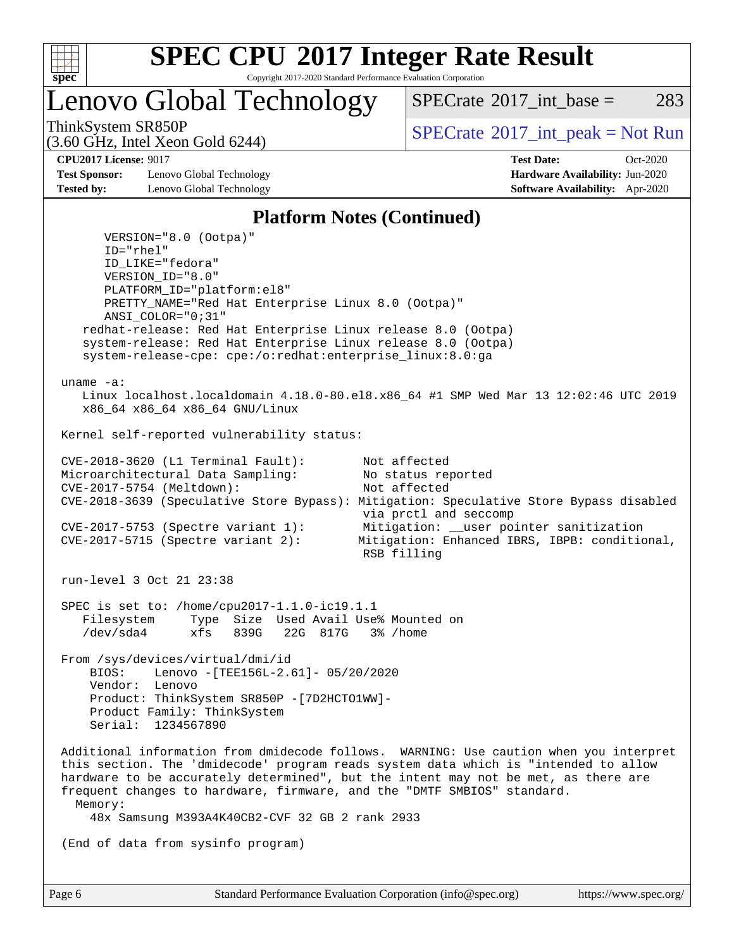

Copyright 2017-2020 Standard Performance Evaluation Corporation

Lenovo Global Technology

[SPECrate](http://www.spec.org/auto/cpu2017/Docs/result-fields.html#SPECrate2017intbase)<sup>®</sup>2017 int base = 283

(3.60 GHz, Intel Xeon Gold 6244)

ThinkSystem SR850P<br>  $SPECTI<sub>2</sub>$  [SPECrate](http://www.spec.org/auto/cpu2017/Docs/result-fields.html#SPECrate2017intpeak)®[2017\\_int\\_peak = N](http://www.spec.org/auto/cpu2017/Docs/result-fields.html#SPECrate2017intpeak)ot Run

**[Test Sponsor:](http://www.spec.org/auto/cpu2017/Docs/result-fields.html#TestSponsor)** Lenovo Global Technology **[Hardware Availability:](http://www.spec.org/auto/cpu2017/Docs/result-fields.html#HardwareAvailability)** Jun-2020 **[Tested by:](http://www.spec.org/auto/cpu2017/Docs/result-fields.html#Testedby)** Lenovo Global Technology **[Software Availability:](http://www.spec.org/auto/cpu2017/Docs/result-fields.html#SoftwareAvailability)** Apr-2020

**[CPU2017 License:](http://www.spec.org/auto/cpu2017/Docs/result-fields.html#CPU2017License)** 9017 **[Test Date:](http://www.spec.org/auto/cpu2017/Docs/result-fields.html#TestDate)** Oct-2020

#### **[Platform Notes \(Continued\)](http://www.spec.org/auto/cpu2017/Docs/result-fields.html#PlatformNotes)**

 VERSION="8.0 (Ootpa)" ID="rhel" ID\_LIKE="fedora" VERSION\_ID="8.0" PLATFORM\_ID="platform:el8" PRETTY\_NAME="Red Hat Enterprise Linux 8.0 (Ootpa)" ANSI\_COLOR="0;31" redhat-release: Red Hat Enterprise Linux release 8.0 (Ootpa) system-release: Red Hat Enterprise Linux release 8.0 (Ootpa) system-release-cpe: cpe:/o:redhat:enterprise\_linux:8.0:ga uname -a: Linux localhost.localdomain 4.18.0-80.el8.x86\_64 #1 SMP Wed Mar 13 12:02:46 UTC 2019 x86\_64 x86\_64 x86\_64 GNU/Linux Kernel self-reported vulnerability status: CVE-2018-3620 (L1 Terminal Fault): Not affected Microarchitectural Data Sampling: No status reported<br>CVE-2017-5754 (Meltdown): Not affected  $CVE-2017-5754$  (Meltdown): CVE-2018-3639 (Speculative Store Bypass): Mitigation: Speculative Store Bypass disabled via prctl and seccomp CVE-2017-5753 (Spectre variant 1): Mitigation: \_\_user pointer sanitization<br>CVE-2017-5715 (Spectre variant 2): Mitigation: Enhanced IBRS, IBPB: condition Mitigation: Enhanced IBRS, IBPB: conditional, RSB filling run-level 3 Oct 21 23:38 SPEC is set to: /home/cpu2017-1.1.0-ic19.1.1 Filesystem Type Size Used Avail Use% Mounted on /dev/sda4 xfs 839G 22G 817G 3% /home From /sys/devices/virtual/dmi/id BIOS: Lenovo -[TEE156L-2.61]- 05/20/2020 Vendor: Lenovo Product: ThinkSystem SR850P -[7D2HCTO1WW]- Product Family: ThinkSystem Serial: 1234567890 Additional information from dmidecode follows. WARNING: Use caution when you interpret this section. The 'dmidecode' program reads system data which is "intended to allow hardware to be accurately determined", but the intent may not be met, as there are frequent changes to hardware, firmware, and the "DMTF SMBIOS" standard. Memory: 48x Samsung M393A4K40CB2-CVF 32 GB 2 rank 2933 (End of data from sysinfo program)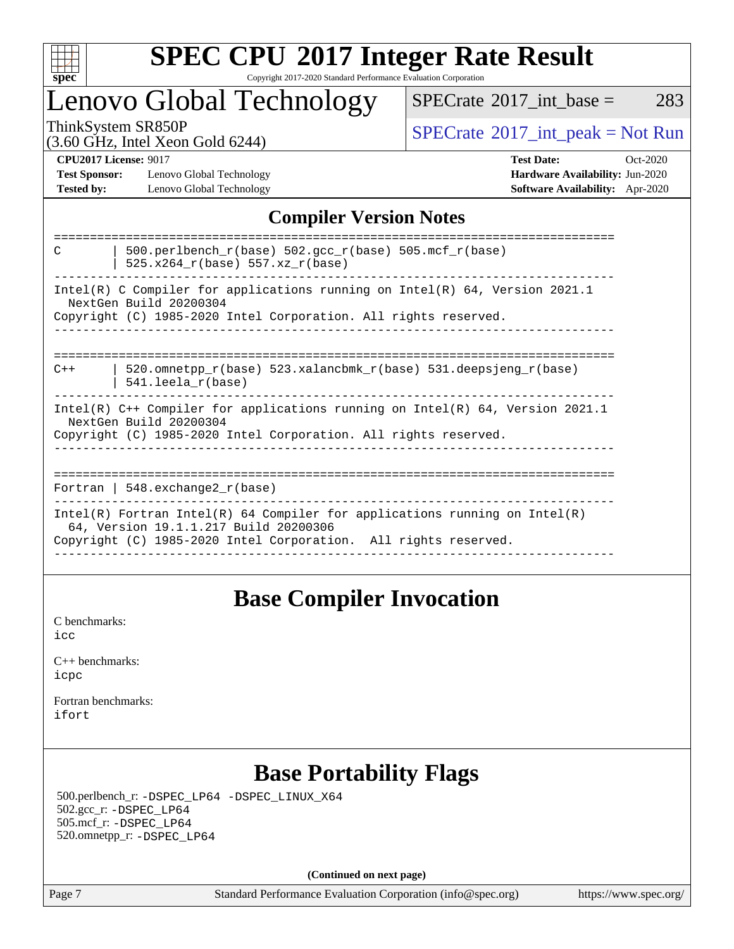

#### **[SPEC CPU](http://www.spec.org/auto/cpu2017/Docs/result-fields.html#SPECCPU2017IntegerRateResult)[2017 Integer Rate Result](http://www.spec.org/auto/cpu2017/Docs/result-fields.html#SPECCPU2017IntegerRateResult)** Copyright 2017-2020 Standard Performance Evaluation Corporation

## Lenovo Global Technology

 $SPECTate@2017\_int\_base = 283$ 

(3.60 GHz, Intel Xeon Gold 6244)

ThinkSystem SR850P<br>  $(3.60 \text{ GHz, Intel Yoon Gold } 6244)$  [SPECrate](http://www.spec.org/auto/cpu2017/Docs/result-fields.html#SPECrate2017intpeak)®[2017\\_int\\_peak = N](http://www.spec.org/auto/cpu2017/Docs/result-fields.html#SPECrate2017intpeak)ot Run

**[Test Sponsor:](http://www.spec.org/auto/cpu2017/Docs/result-fields.html#TestSponsor)** Lenovo Global Technology **[Hardware Availability:](http://www.spec.org/auto/cpu2017/Docs/result-fields.html#HardwareAvailability)** Jun-2020 **[Tested by:](http://www.spec.org/auto/cpu2017/Docs/result-fields.html#Testedby)** Lenovo Global Technology **[Software Availability:](http://www.spec.org/auto/cpu2017/Docs/result-fields.html#SoftwareAvailability)** Apr-2020

**[CPU2017 License:](http://www.spec.org/auto/cpu2017/Docs/result-fields.html#CPU2017License)** 9017 **[Test Date:](http://www.spec.org/auto/cpu2017/Docs/result-fields.html#TestDate)** Oct-2020

## **[Compiler Version Notes](http://www.spec.org/auto/cpu2017/Docs/result-fields.html#CompilerVersionNotes)**

| 500.perlbench_r(base) 502.gcc_r(base) 505.mcf_r(base)<br>C<br>$525.x264_r(base) 557.xz_r(base)$                                                                          |  |  |  |  |  |  |
|--------------------------------------------------------------------------------------------------------------------------------------------------------------------------|--|--|--|--|--|--|
| Intel(R) C Compiler for applications running on Intel(R) 64, Version 2021.1<br>NextGen Build 20200304<br>Copyright (C) 1985-2020 Intel Corporation. All rights reserved. |  |  |  |  |  |  |
|                                                                                                                                                                          |  |  |  |  |  |  |
|                                                                                                                                                                          |  |  |  |  |  |  |
| 520.omnetpp $r(base)$ 523.xalancbmk $r(base)$ 531.deepsjeng $r(base)$<br>$C++$<br>$541.$ leela r(base)                                                                   |  |  |  |  |  |  |
| Intel(R) $C++$ Compiler for applications running on Intel(R) 64, Version 2021.1<br>NextGen Build 20200304                                                                |  |  |  |  |  |  |
| Copyright (C) 1985-2020 Intel Corporation. All rights reserved.                                                                                                          |  |  |  |  |  |  |
|                                                                                                                                                                          |  |  |  |  |  |  |
| Fortran   548.exchange2 $r(base)$                                                                                                                                        |  |  |  |  |  |  |
|                                                                                                                                                                          |  |  |  |  |  |  |
| Intel(R) Fortran Intel(R) 64 Compiler for applications running on Intel(R)<br>64, Version 19.1.1.217 Build 20200306                                                      |  |  |  |  |  |  |
| Copyright (C) 1985-2020 Intel Corporation. All rights reserved.                                                                                                          |  |  |  |  |  |  |
|                                                                                                                                                                          |  |  |  |  |  |  |

## **[Base Compiler Invocation](http://www.spec.org/auto/cpu2017/Docs/result-fields.html#BaseCompilerInvocation)**

[C benchmarks](http://www.spec.org/auto/cpu2017/Docs/result-fields.html#Cbenchmarks): [icc](http://www.spec.org/cpu2017/results/res2020q4/cpu2017-20201026-24288.flags.html#user_CCbase_intel_icc_66fc1ee009f7361af1fbd72ca7dcefbb700085f36577c54f309893dd4ec40d12360134090235512931783d35fd58c0460139e722d5067c5574d8eaf2b3e37e92)

| $C_{++}$ benchmarks: |  |
|----------------------|--|
| icpc                 |  |

[Fortran benchmarks](http://www.spec.org/auto/cpu2017/Docs/result-fields.html#Fortranbenchmarks): [ifort](http://www.spec.org/cpu2017/results/res2020q4/cpu2017-20201026-24288.flags.html#user_FCbase_intel_ifort_8111460550e3ca792625aed983ce982f94888b8b503583aa7ba2b8303487b4d8a21a13e7191a45c5fd58ff318f48f9492884d4413fa793fd88dd292cad7027ca)

## **[Base Portability Flags](http://www.spec.org/auto/cpu2017/Docs/result-fields.html#BasePortabilityFlags)**

 500.perlbench\_r: [-DSPEC\\_LP64](http://www.spec.org/cpu2017/results/res2020q4/cpu2017-20201026-24288.flags.html#b500.perlbench_r_basePORTABILITY_DSPEC_LP64) [-DSPEC\\_LINUX\\_X64](http://www.spec.org/cpu2017/results/res2020q4/cpu2017-20201026-24288.flags.html#b500.perlbench_r_baseCPORTABILITY_DSPEC_LINUX_X64) 502.gcc\_r: [-DSPEC\\_LP64](http://www.spec.org/cpu2017/results/res2020q4/cpu2017-20201026-24288.flags.html#suite_basePORTABILITY502_gcc_r_DSPEC_LP64) 505.mcf\_r: [-DSPEC\\_LP64](http://www.spec.org/cpu2017/results/res2020q4/cpu2017-20201026-24288.flags.html#suite_basePORTABILITY505_mcf_r_DSPEC_LP64) 520.omnetpp\_r: [-DSPEC\\_LP64](http://www.spec.org/cpu2017/results/res2020q4/cpu2017-20201026-24288.flags.html#suite_basePORTABILITY520_omnetpp_r_DSPEC_LP64)

**(Continued on next page)**

Page 7 Standard Performance Evaluation Corporation [\(info@spec.org\)](mailto:info@spec.org) <https://www.spec.org/>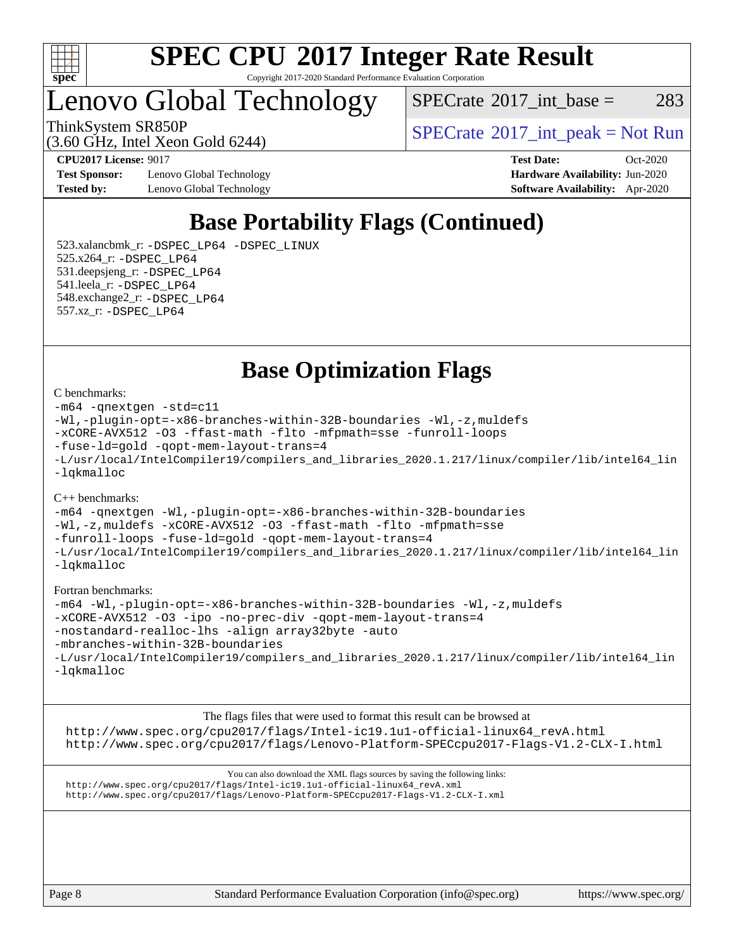

Copyright 2017-2020 Standard Performance Evaluation Corporation

Lenovo Global Technology

 $SPECTate@2017\_int\_base = 283$ 

(3.60 GHz, Intel Xeon Gold 6244)

ThinkSystem SR850P<br>  $SPECTI<sub>2</sub>$  [SPECrate](http://www.spec.org/auto/cpu2017/Docs/result-fields.html#SPECrate2017intpeak)®[2017\\_int\\_peak = N](http://www.spec.org/auto/cpu2017/Docs/result-fields.html#SPECrate2017intpeak)ot Run

**[Test Sponsor:](http://www.spec.org/auto/cpu2017/Docs/result-fields.html#TestSponsor)** Lenovo Global Technology **[Hardware Availability:](http://www.spec.org/auto/cpu2017/Docs/result-fields.html#HardwareAvailability)** Jun-2020 **[Tested by:](http://www.spec.org/auto/cpu2017/Docs/result-fields.html#Testedby)** Lenovo Global Technology **[Software Availability:](http://www.spec.org/auto/cpu2017/Docs/result-fields.html#SoftwareAvailability)** Apr-2020

**[CPU2017 License:](http://www.spec.org/auto/cpu2017/Docs/result-fields.html#CPU2017License)** 9017 **[Test Date:](http://www.spec.org/auto/cpu2017/Docs/result-fields.html#TestDate)** Oct-2020

## **[Base Portability Flags \(Continued\)](http://www.spec.org/auto/cpu2017/Docs/result-fields.html#BasePortabilityFlags)**

 523.xalancbmk\_r: [-DSPEC\\_LP64](http://www.spec.org/cpu2017/results/res2020q4/cpu2017-20201026-24288.flags.html#suite_basePORTABILITY523_xalancbmk_r_DSPEC_LP64) [-DSPEC\\_LINUX](http://www.spec.org/cpu2017/results/res2020q4/cpu2017-20201026-24288.flags.html#b523.xalancbmk_r_baseCXXPORTABILITY_DSPEC_LINUX) 525.x264\_r: [-DSPEC\\_LP64](http://www.spec.org/cpu2017/results/res2020q4/cpu2017-20201026-24288.flags.html#suite_basePORTABILITY525_x264_r_DSPEC_LP64) 531.deepsjeng\_r: [-DSPEC\\_LP64](http://www.spec.org/cpu2017/results/res2020q4/cpu2017-20201026-24288.flags.html#suite_basePORTABILITY531_deepsjeng_r_DSPEC_LP64) 541.leela\_r: [-DSPEC\\_LP64](http://www.spec.org/cpu2017/results/res2020q4/cpu2017-20201026-24288.flags.html#suite_basePORTABILITY541_leela_r_DSPEC_LP64) 548.exchange2\_r: [-DSPEC\\_LP64](http://www.spec.org/cpu2017/results/res2020q4/cpu2017-20201026-24288.flags.html#suite_basePORTABILITY548_exchange2_r_DSPEC_LP64) 557.xz\_r: [-DSPEC\\_LP64](http://www.spec.org/cpu2017/results/res2020q4/cpu2017-20201026-24288.flags.html#suite_basePORTABILITY557_xz_r_DSPEC_LP64)

**[Base Optimization Flags](http://www.spec.org/auto/cpu2017/Docs/result-fields.html#BaseOptimizationFlags)**

#### [C benchmarks](http://www.spec.org/auto/cpu2017/Docs/result-fields.html#Cbenchmarks):

```
-m64 -qnextgen -std=c11
-Wl,-plugin-opt=-x86-branches-within-32B-boundaries -Wl,-z,muldefs
-xCORE-AVX512 -O3 -ffast-math -flto -mfpmath=sse -funroll-loops
-fuse-ld=gold -qopt-mem-layout-trans=4
-L/usr/local/IntelCompiler19/compilers_and_libraries_2020.1.217/linux/compiler/lib/intel64_lin
-lqkmalloc
```
#### [C++ benchmarks](http://www.spec.org/auto/cpu2017/Docs/result-fields.html#CXXbenchmarks):

```
-m64 -qnextgen -Wl,-plugin-opt=-x86-branches-within-32B-boundaries
-Wl,-z,muldefs -xCORE-AVX512 -O3 -ffast-math -flto -mfpmath=sse
-funroll-loops -fuse-ld=gold -qopt-mem-layout-trans=4
-L/usr/local/IntelCompiler19/compilers_and_libraries_2020.1.217/linux/compiler/lib/intel64_lin
-lqkmalloc
```
#### [Fortran benchmarks:](http://www.spec.org/auto/cpu2017/Docs/result-fields.html#Fortranbenchmarks)

```
-m64 -Wl,-plugin-opt=-x86-branches-within-32B-boundaries -Wl,-z,muldefs
-xCORE-AVX512 -O3 -ipo -no-prec-div -qopt-mem-layout-trans=4
-nostandard-realloc-lhs -align array32byte -auto
-mbranches-within-32B-boundaries
-L/usr/local/IntelCompiler19/compilers_and_libraries_2020.1.217/linux/compiler/lib/intel64_lin
-lqkmalloc
```
[The flags files that were used to format this result can be browsed at](tmsearch) [http://www.spec.org/cpu2017/flags/Intel-ic19.1u1-official-linux64\\_revA.html](http://www.spec.org/cpu2017/flags/Intel-ic19.1u1-official-linux64_revA.html) <http://www.spec.org/cpu2017/flags/Lenovo-Platform-SPECcpu2017-Flags-V1.2-CLX-I.html>

[You can also download the XML flags sources by saving the following links:](tmsearch) [http://www.spec.org/cpu2017/flags/Intel-ic19.1u1-official-linux64\\_revA.xml](http://www.spec.org/cpu2017/flags/Intel-ic19.1u1-official-linux64_revA.xml) <http://www.spec.org/cpu2017/flags/Lenovo-Platform-SPECcpu2017-Flags-V1.2-CLX-I.xml>